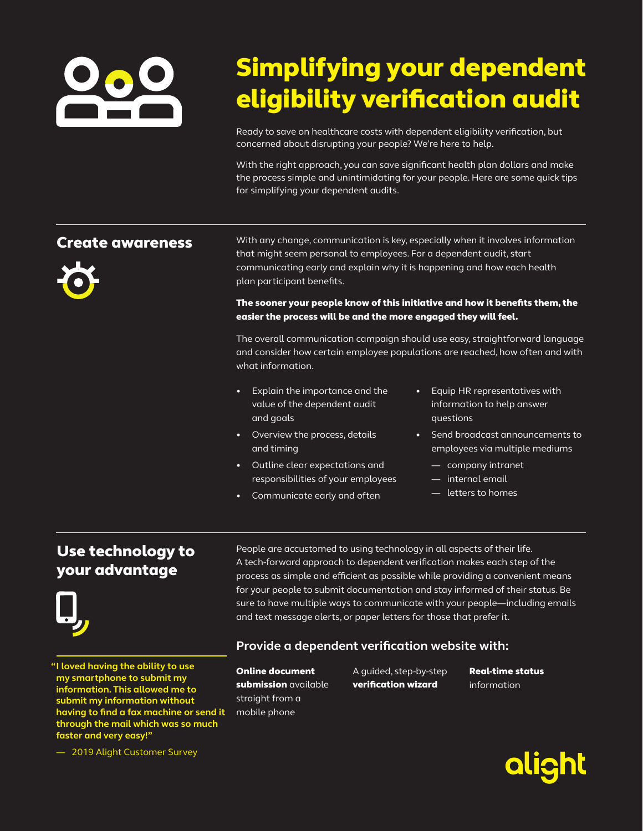# Simplifying your dependent eligibility verification audit

Ready to save on healthcare costs with dependent eligibility verification, but concerned about disrupting your people? We're here to help.

With the right approach, you can save significant health plan dollars and make the process simple and unintimidating for your people. Here are some quick tips for simplifying your dependent audits.

## Create awareness



With any change, communication is key, especially when it involves information that might seem personal to employees. For a dependent audit, start communicating early and explain why it is happening and how each health plan participant benefits.

The sooner your people know of this initiative and how it benefits them, the easier the process will be and the more engaged they will feel.

The overall communication campaign should use easy, straightforward language and consider how certain employee populations are reached, how often and with what information.

- Explain the importance and the value of the dependent audit and goals
- Overview the process, details and timing
- Outline clear expectations and responsibilities of your employees
- Communicate early and often
- Equip HR representatives with information to help answer questions
- Send broadcast announcements to employees via multiple mediums
	- company intranet
	- internal email
	- letters to homes

# Use technology to your advantage



**If loved having the ability to use <b>Solution Colline document** A guided, step-by-step **Real-time status my smartphone to submit my information. This allowed me to submit my information without having to find a fax machine or send it through the mail which was so much faster and very easy!"**

People are accustomed to using technology in all aspects of their life. A tech-forward approach to dependent verification makes each step of the process as simple and efficient as possible while providing a convenient means for your people to submit documentation and stay informed of their status. Be sure to have multiple ways to communicate with your people—including emails and text message alerts, or paper letters for those that prefer it.

#### **Provide a dependent verification website with:**

Online document submission available straight from a mobile phone

A guided, step-by-step verification wizard

information



— 2019 Alight Customer Survey